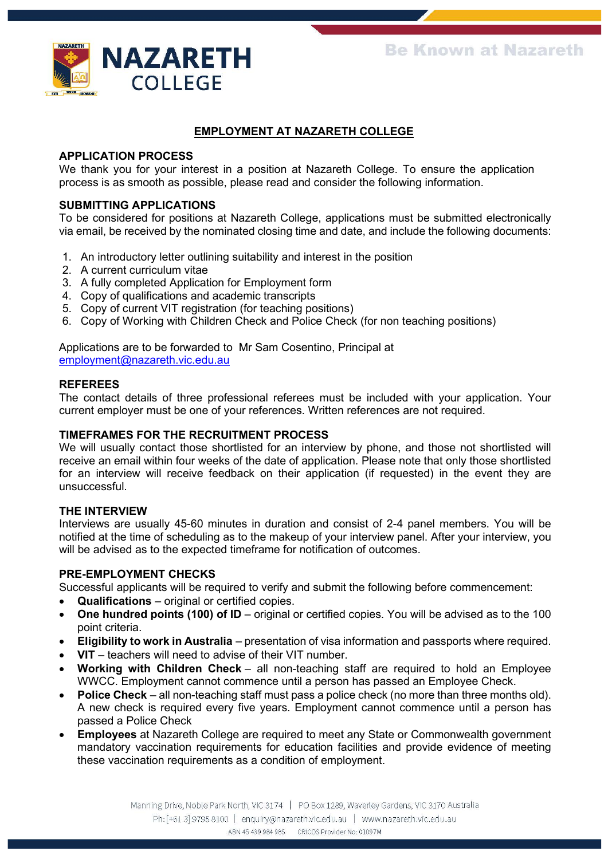

## **EMPLOYMENT AT NAZARETH COLLEGE**

#### **APPLICATION PROCESS**

We thank you for your interest in a position at Nazareth College. To ensure the application process is as smooth as possible, please read and consider the following information.

## **SUBMITTING APPLICATIONS**

To be considered for positions at Nazareth College, applications must be submitted electronically via email, be received by the nominated closing time and date, and include the following documents:

- 1. An introductory letter outlining suitability and interest in the position
- 2. A current curriculum vitae
- 3. A fully completed Application for Employment form
- 4. Copy of qualifications and academic transcripts
- 5. Copy of current VIT registration (for teaching positions)
- 6. Copy of Working with Children Check and Police Check (for non teaching positions)

Applications are to be forwarded to Mr Sam Cosentino, Principal at [employment@nazareth.vic.edu.au](mailto:employment@nazareth.vic.edu.au)

#### **REFEREES**

The contact details of three professional referees must be included with your application. Your current employer must be one of your references. Written references are not required.

#### **TIMEFRAMES FOR THE RECRUITMENT PROCESS**

We will usually contact those shortlisted for an interview by phone, and those not shortlisted will receive an email within four weeks of the date of application. Please note that only those shortlisted for an interview will receive feedback on their application (if requested) in the event they are unsuccessful.

#### **THE INTERVIEW**

Interviews are usually 45-60 minutes in duration and consist of 2-4 panel members. You will be notified at the time of scheduling as to the makeup of your interview panel. After your interview, you will be advised as to the expected timeframe for notification of outcomes.

## **PRE-EMPLOYMENT CHECKS**

Successful applicants will be required to verify and submit the following before commencement:

- **Qualifications** original or certified copies.
- **One hundred points (100) of ID** original or certified copies. You will be advised as to the 100 point criteria.
- **Eligibility to work in Australia** presentation of visa information and passports where required.
- **VIT** teachers will need to advise of their VIT number.
- **Working with Children Check** all non-teaching staff are required to hold an Employee WWCC. Employment cannot commence until a person has passed an Employee Check.
- **Police Check** all non-teaching staff must pass a police check (no more than three months old). A new check is required every five years. Employment cannot commence until a person has passed a Police Check
- **Employees** at Nazareth College are required to meet any State or Commonwealth government mandatory vaccination requirements for education facilities and provide evidence of meeting these vaccination requirements as a condition of employment.